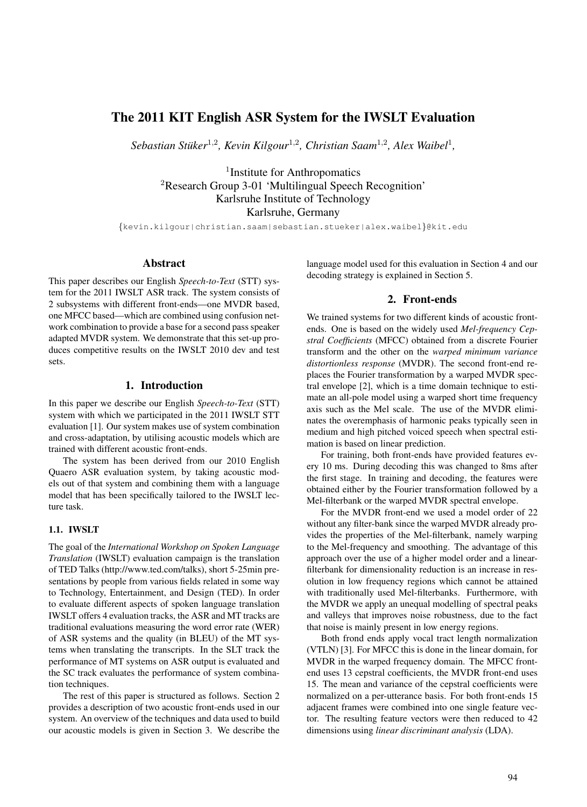# The 2011 KIT English ASR System for the IWSLT Evaluation

Sebastian Stüker<sup>1,2</sup>, Kevin Kilgour<sup>1,2</sup>, Christian Saam<sup>1,2</sup>, Alex Waibel<sup>1</sup>,

<sup>1</sup>Institute for Anthropomatics <sup>2</sup>Research Group 3-01 'Multilingual Speech Recognition' Karlsruhe Institute of Technology Karlsruhe, Germany

{kevin.kilgour|christian.saam|sebastian.stueker|alex.waibel}@kit.edu

### Abstract

This paper describes our English *Speech-to-Text* (STT) system for the 2011 IWSLT ASR track. The system consists of 2 subsystems with different front-ends—one MVDR based, one MFCC based—which are combined using confusion network combination to provide a base for a second pass speaker adapted MVDR system. We demonstrate that this set-up produces competitive results on the IWSLT 2010 dev and test sets.

## 1. Introduction

In this paper we describe our English *Speech-to-Text* (STT) system with which we participated in the 2011 IWSLT STT evaluation [1]. Our system makes use of system combination and cross-adaptation, by utilising acoustic models which are trained with different acoustic front-ends.

The system has been derived from our 2010 English Quaero ASR evaluation system, by taking acoustic models out of that system and combining them with a language model that has been specifically tailored to the IWSLT lecture task.

#### 1.1. IWSLT

The goal of the *International Workshop on Spoken Language Translation* (IWSLT) evaluation campaign is the translation of TED Talks (http://www.ted.com/talks), short 5-25min presentations by people from various fields related in some way to Technology, Entertainment, and Design (TED). In order to evaluate different aspects of spoken language translation IWSLT offers 4 evaluation tracks, the ASR and MT tracks are traditional evaluations measuring the word error rate (WER) of ASR systems and the quality (in BLEU) of the MT systems when translating the transcripts. In the SLT track the performance of MT systems on ASR output is evaluated and the SC track evaluates the performance of system combination techniques.

The rest of this paper is structured as follows. Section 2 provides a description of two acoustic front-ends used in our system. An overview of the techniques and data used to build our acoustic models is given in Section 3. We describe the

language model used for this evaluation in Section 4 and our decoding strategy is explained in Section 5.

# 2. Front-ends

We trained systems for two different kinds of acoustic frontends. One is based on the widely used *Mel-frequency Cepstral Coefficients* (MFCC) obtained from a discrete Fourier transform and the other on the *warped minimum variance distortionless response* (MVDR). The second front-end replaces the Fourier transformation by a warped MVDR spectral envelope [2], which is a time domain technique to estimate an all-pole model using a warped short time frequency axis such as the Mel scale. The use of the MVDR eliminates the overemphasis of harmonic peaks typically seen in medium and high pitched voiced speech when spectral estimation is based on linear prediction.

For training, both front-ends have provided features every 10 ms. During decoding this was changed to 8ms after the first stage. In training and decoding, the features were obtained either by the Fourier transformation followed by a Mel-filterbank or the warped MVDR spectral envelope.

For the MVDR front-end we used a model order of 22 without any filter-bank since the warped MVDR already provides the properties of the Mel-filterbank, namely warping to the Mel-frequency and smoothing. The advantage of this approach over the use of a higher model order and a linearfilterbank for dimensionality reduction is an increase in resolution in low frequency regions which cannot be attained with traditionally used Mel-filterbanks. Furthermore, with the MVDR we apply an unequal modelling of spectral peaks and valleys that improves noise robustness, due to the fact that noise is mainly present in low energy regions.

Both frond ends apply vocal tract length normalization (VTLN) [3]. For MFCC this is done in the linear domain, for MVDR in the warped frequency domain. The MFCC frontend uses 13 cepstral coefficients, the MVDR front-end uses 15. The mean and variance of the cepstral coefficients were normalized on a per-utterance basis. For both front-ends 15 adjacent frames were combined into one single feature vector. The resulting feature vectors were then reduced to 42 dimensions using *linear discriminant analysis* (LDA).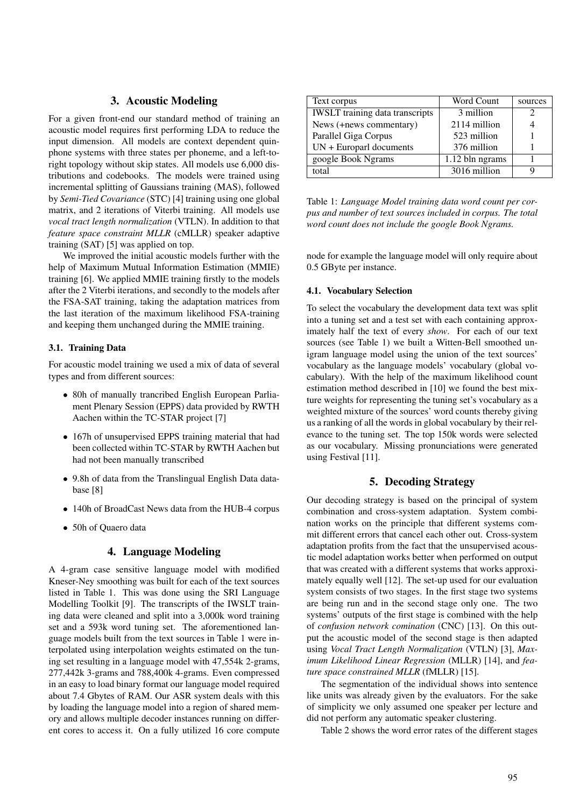# 3. Acoustic Modeling

For a given front-end our standard method of training an acoustic model requires first performing LDA to reduce the input dimension. All models are context dependent quinphone systems with three states per phoneme, and a left-toright topology without skip states. All models use 6,000 distributions and codebooks. The models were trained using incremental splitting of Gaussians training (MAS), followed by *Semi-Tied Covariance* (STC) [4] training using one global matrix, and 2 iterations of Viterbi training. All models use *vocal tract length normalization* (VTLN). In addition to that *feature space constraint MLLR* (cMLLR) speaker adaptive training (SAT) [5] was applied on top.

We improved the initial acoustic models further with the help of Maximum Mutual Information Estimation (MMIE) training [6]. We applied MMIE training firstly to the models after the 2 Viterbi iterations, and secondly to the models after the FSA-SAT training, taking the adaptation matrices from the last iteration of the maximum likelihood FSA-training and keeping them unchanged during the MMIE training.

### 3.1. Training Data

For acoustic model training we used a mix of data of several types and from different sources:

- 80h of manually trancribed English European Parliament Plenary Session (EPPS) data provided by RWTH Aachen within the TC-STAR project [7]
- 167h of unsupervised EPPS training material that had been collected within TC-STAR by RWTH Aachen but had not been manually transcribed
- 9.8h of data from the Translingual English Data database [8]
- 140h of BroadCast News data from the HUB-4 corpus
- 50h of Quaero data

# 4. Language Modeling

A 4-gram case sensitive language model with modified Kneser-Ney smoothing was built for each of the text sources listed in Table 1. This was done using the SRI Language Modelling Toolkit [9]. The transcripts of the IWSLT training data were cleaned and split into a 3,000k word training set and a 593k word tuning set. The aforementioned language models built from the text sources in Table 1 were interpolated using interpolation weights estimated on the tuning set resulting in a language model with 47,554k 2-grams, 277,442k 3-grams and 788,400k 4-grams. Even compressed in an easy to load binary format our language model required about 7.4 Gbytes of RAM. Our ASR system deals with this by loading the language model into a region of shared memory and allows multiple decoder instances running on different cores to access it. On a fully utilized 16 core compute

| Text corpus                            | Word Count      | sources                     |
|----------------------------------------|-----------------|-----------------------------|
| <b>IWSLT</b> training data transcripts | 3 million       | $\mathcal{D}_{\mathcal{A}}$ |
| News (+news commentary)                | 2114 million    |                             |
| Parallel Giga Corpus                   | 523 million     |                             |
| $UN + European documents$              | 376 million     |                             |
| google Book Ngrams                     | 1.12 bln ngrams |                             |
| total                                  | 3016 million    |                             |

Table 1: *Language Model training data word count per corpus and number of text sources included in corpus. The total word count does not include the google Book Ngrams.*

node for example the language model will only require about 0.5 GByte per instance.

#### 4.1. Vocabulary Selection

To select the vocabulary the development data text was split into a tuning set and a test set with each containing approximately half the text of every *show*. For each of our text sources (see Table 1) we built a Witten-Bell smoothed unigram language model using the union of the text sources' vocabulary as the language models' vocabulary (global vocabulary). With the help of the maximum likelihood count estimation method described in [10] we found the best mixture weights for representing the tuning set's vocabulary as a weighted mixture of the sources' word counts thereby giving us a ranking of all the words in global vocabulary by their relevance to the tuning set. The top 150k words were selected as our vocabulary. Missing pronunciations were generated using Festival [11].

# 5. Decoding Strategy

Our decoding strategy is based on the principal of system combination and cross-system adaptation. System combination works on the principle that different systems commit different errors that cancel each other out. Cross-system adaptation profits from the fact that the unsupervised acoustic model adaptation works better when performed on output that was created with a different systems that works approximately equally well [12]. The set-up used for our evaluation system consists of two stages. In the first stage two systems are being run and in the second stage only one. The two systems' outputs of the first stage is combined with the help of *confusion network comination* (CNC) [13]. On this output the acoustic model of the second stage is then adapted using *Vocal Tract Length Normalization* (VTLN) [3], *Maximum Likelihood Linear Regression* (MLLR) [14], and *feature space constrained MLLR* (fMLLR) [15].

The segmentation of the individual shows into sentence like units was already given by the evaluators. For the sake of simplicity we only assumed one speaker per lecture and did not perform any automatic speaker clustering.

Table 2 shows the word error rates of the different stages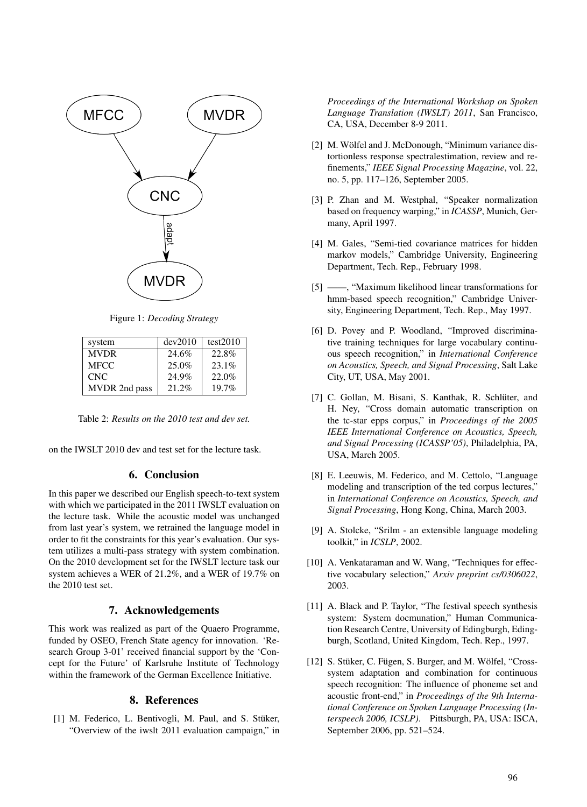

Figure 1: *Decoding Strategy*

| system        | dev2010 | test2010 |
|---------------|---------|----------|
| <b>MVDR</b>   | 24.6%   | 22.8%    |
| <b>MFCC</b>   | 25.0%   | 23.1%    |
| CNC           | 24.9%   | 22.0%    |
| MVDR 2nd pass | 21.2%   | 19.7%    |

Table 2: *Results on the 2010 test and dev set.*

on the IWSLT 2010 dev and test set for the lecture task.

## 6. Conclusion

In this paper we described our English speech-to-text system with which we participated in the 2011 IWSLT evaluation on the lecture task. While the acoustic model was unchanged from last year's system, we retrained the language model in order to fit the constraints for this year's evaluation. Our system utilizes a multi-pass strategy with system combination. On the 2010 development set for the IWSLT lecture task our system achieves a WER of 21.2%, and a WER of 19.7% on the 2010 test set.

### 7. Acknowledgements

This work was realized as part of the Quaero Programme, funded by OSEO, French State agency for innovation. 'Research Group 3-01' received financial support by the 'Concept for the Future' of Karlsruhe Institute of Technology within the framework of the German Excellence Initiative.

## 8. References

[1] M. Federico, L. Bentivogli, M. Paul, and S. Stüker, "Overview of the iwslt 2011 evaluation campaign," in *Proceedings of the International Workshop on Spoken Language Translation (IWSLT) 2011*, San Francisco, CA, USA, December 8-9 2011.

- [2] M. Wölfel and J. McDonough, "Minimum variance distortionless response spectralestimation, review and refinements," *IEEE Signal Processing Magazine*, vol. 22, no. 5, pp. 117–126, September 2005.
- [3] P. Zhan and M. Westphal, "Speaker normalization based on frequency warping," in *ICASSP*, Munich, Germany, April 1997.
- [4] M. Gales, "Semi-tied covariance matrices for hidden markov models," Cambridge University, Engineering Department, Tech. Rep., February 1998.
- [5] ——, "Maximum likelihood linear transformations for hmm-based speech recognition," Cambridge University, Engineering Department, Tech. Rep., May 1997.
- [6] D. Povey and P. Woodland, "Improved discriminative training techniques for large vocabulary continuous speech recognition," in *International Conference on Acoustics, Speech, and Signal Processing*, Salt Lake City, UT, USA, May 2001.
- [7] C. Gollan, M. Bisani, S. Kanthak, R. Schlüter, and H. Ney, "Cross domain automatic transcription on the tc-star epps corpus," in *Proceedings of the 2005 IEEE International Conference on Acoustics, Speech, and Signal Processing (ICASSP'05)*, Philadelphia, PA, USA, March 2005.
- [8] E. Leeuwis, M. Federico, and M. Cettolo, "Language modeling and transcription of the ted corpus lectures," in *International Conference on Acoustics, Speech, and Signal Processing*, Hong Kong, China, March 2003.
- [9] A. Stolcke, "Srilm an extensible language modeling toolkit," in *ICSLP*, 2002.
- [10] A. Venkataraman and W. Wang, "Techniques for effective vocabulary selection," *Arxiv preprint cs/0306022*, 2003.
- [11] A. Black and P. Taylor, "The festival speech synthesis system: System docmunation," Human Communication Research Centre, University of Edingburgh, Edingburgh, Scotland, United Kingdom, Tech. Rep., 1997.
- [12] S. Stüker, C. Fügen, S. Burger, and M. Wölfel, "Crosssystem adaptation and combination for continuous speech recognition: The influence of phoneme set and acoustic front-end," in *Proceedings of the 9th International Conference on Spoken Language Processing (Interspeech 2006, ICSLP)*. Pittsburgh, PA, USA: ISCA, September 2006, pp. 521–524.